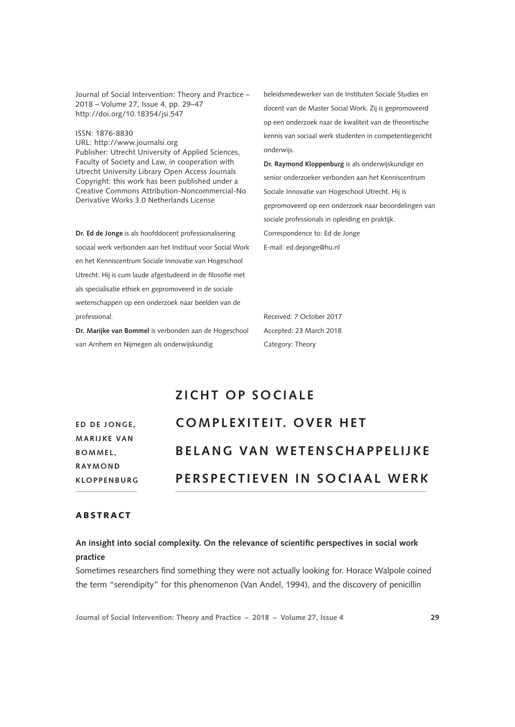Journal of Social Intervention: Theory and Practice – 2018 – Volume 27, Issue 4, pp. 29–47 <http://doi.org/10.18354/jsi.547>

ISSN: 1876-8830 URL:<http://www.journalsi.org> Publisher: Utrecht University of Applied Sciences, Faculty of Society and Law, in cooperation with Utrecht University Library Open Access Journals Copyright: this work has been published under a Creative Commons Attribution-Noncommercial-No Derivative Works 3.0 Netherlands License

**Dr. Ed de Jonge** is als hoofddocent professionalisering sociaal werk verbonden aan het Instituut voor Social Work en het Kenniscentrum Sociale Innovatie van Hogeschool Utrecht. Hij is cum laude afgestudeerd in de filosofie met als specialisatie ethiek en gepromoveerd in de sociale wetenschappen op een onderzoek naar beelden van de professional.

**Dr. Marijke van Bommel** is verbonden aan de Hogeschool van Arnhem en Nijmegen als onderwijskundig

beleidsmedewerker van de Instituten Sociale Studies en docent van de Master Social Work. Zij is gepromoveerd op een onderzoek naar de kwaliteit van de theoretische kennis van sociaal werk studenten in competentiegericht onderwijs.

**Dr. Raymond Kloppenburg** is als onderwijskundige en senior onderzoeker verbonden aan het Kenniscentrum Sociale Innovatie van Hogeschool Utrecht. Hij is gepromoveerd op een onderzoek naar beoordelingen van sociale professionals in opleiding en praktijk. Correspondence to: Ed de Jonge E-mail: [ed.dejonge@hu.nl](mailto:ed.dejonge@hu.nl)

Received: 7 October 2017 Accepted: 23 March 2018 Category: Theory

# **ZICHT OP SOCIALE**

**ED DE JONGE. M A R I J K E VA N B O M M E L , R AY M O N D KLOPPENBURG**

# **COMPLEXITEIT. OVER HET B E L A N G VA N W E T E N S C H A P P E L I J K E PERSPECTIEVEN IN SOCIAAL WERK**

## **ARSTRACT**

## **An insight into social complexity. On the relevance of scientific perspectives in social work practice**

Sometimes researchers find something they were not actually looking for. Horace Walpole coined the term "serendipity" for this phenomenon (Van Andel, 1994), and the discovery of penicillin

**Journal of Social Intervention: Theory and Practice – 2018 – Volume 27, Issue 4 29**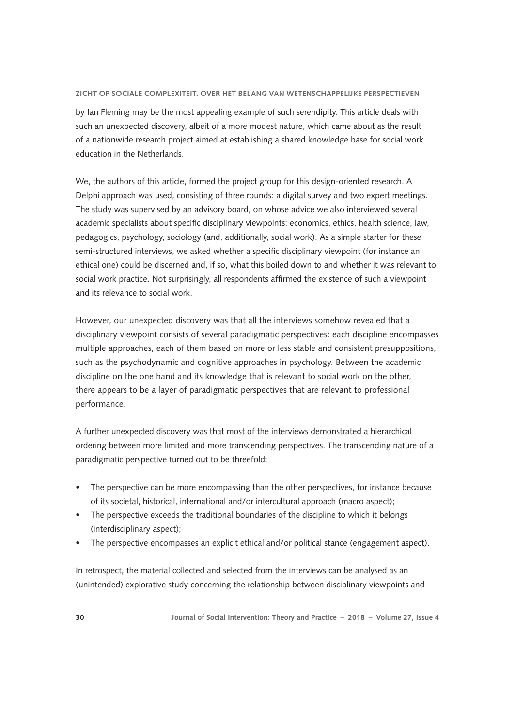by Ian Fleming may be the most appealing example of such serendipity. This article deals with such an unexpected discovery, albeit of a more modest nature, which came about as the result of a nationwide research project aimed at establishing a shared knowledge base for social work education in the Netherlands.

We, the authors of this article, formed the project group for this design-oriented research. A Delphi approach was used, consisting of three rounds: a digital survey and two expert meetings. The study was supervised by an advisory board, on whose advice we also interviewed several academic specialists about specific disciplinary viewpoints: economics, ethics, health science, law, pedagogics, psychology, sociology (and, additionally, social work). As a simple starter for these semi-structured interviews, we asked whether a specific disciplinary viewpoint (for instance an ethical one) could be discerned and, if so, what this boiled down to and whether it was relevant to social work practice. Not surprisingly, all respondents affirmed the existence of such a viewpoint and its relevance to social work.

However, our unexpected discovery was that all the interviews somehow revealed that a disciplinary viewpoint consists of several paradigmatic perspectives: each discipline encompasses multiple approaches, each of them based on more or less stable and consistent presuppositions, such as the psychodynamic and cognitive approaches in psychology. Between the academic discipline on the one hand and its knowledge that is relevant to social work on the other, there appears to be a layer of paradigmatic perspectives that are relevant to professional performance.

A further unexpected discovery was that most of the interviews demonstrated a hierarchical ordering between more limited and more transcending perspectives. The transcending nature of a paradigmatic perspective turned out to be threefold:

- The perspective can be more encompassing than the other perspectives, for instance because of its societal, historical, international and/or intercultural approach (macro aspect);
- The perspective exceeds the traditional boundaries of the discipline to which it belongs (interdisciplinary aspect);
- The perspective encompasses an explicit ethical and/or political stance (engagement aspect).

In retrospect, the material collected and selected from the interviews can be analysed as an (unintended) explorative study concerning the relationship between disciplinary viewpoints and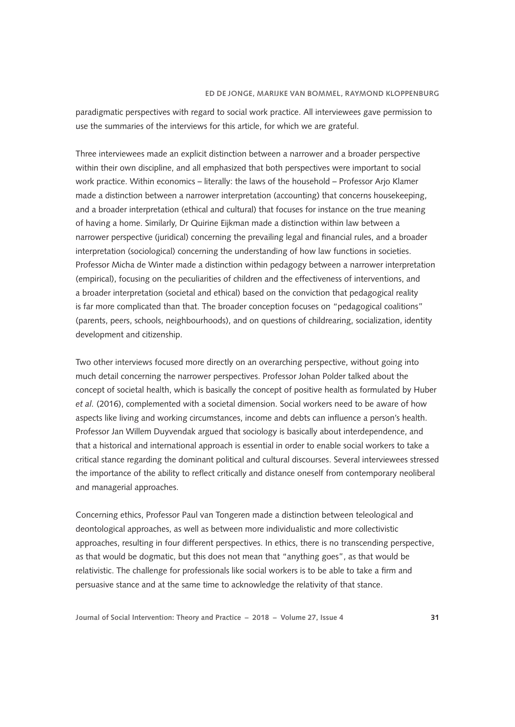paradigmatic perspectives with regard to social work practice. All interviewees gave permission to use the summaries of the interviews for this article, for which we are grateful.

Three interviewees made an explicit distinction between a narrower and a broader perspective within their own discipline, and all emphasized that both perspectives were important to social work practice. Within economics – literally: the laws of the household – Professor Arjo Klamer made a distinction between a narrower interpretation (accounting) that concerns housekeeping, and a broader interpretation (ethical and cultural) that focuses for instance on the true meaning of having a home. Similarly, Dr Quirine Eijkman made a distinction within law between a narrower perspective (juridical) concerning the prevailing legal and financial rules, and a broader interpretation (sociological) concerning the understanding of how law functions in societies. Professor Micha de Winter made a distinction within pedagogy between a narrower interpretation (empirical), focusing on the peculiarities of children and the effectiveness of interventions, and a broader interpretation (societal and ethical) based on the conviction that pedagogical reality is far more complicated than that. The broader conception focuses on "pedagogical coalitions" (parents, peers, schools, neighbourhoods), and on questions of childrearing, socialization, identity development and citizenship.

Two other interviews focused more directly on an overarching perspective, without going into much detail concerning the narrower perspectives. Professor Johan Polder talked about the concept of societal health, which is basically the concept of positive health as formulated by Huber *et al.* (2016), complemented with a societal dimension. Social workers need to be aware of how aspects like living and working circumstances, income and debts can influence a person's health. Professor Jan Willem Duyvendak argued that sociology is basically about interdependence, and that a historical and international approach is essential in order to enable social workers to take a critical stance regarding the dominant political and cultural discourses. Several interviewees stressed the importance of the ability to reflect critically and distance oneself from contemporary neoliberal and managerial approaches.

Concerning ethics, Professor Paul van Tongeren made a distinction between teleological and deontological approaches, as well as between more individualistic and more collectivistic approaches, resulting in four different perspectives. In ethics, there is no transcending perspective, as that would be dogmatic, but this does not mean that "anything goes", as that would be relativistic. The challenge for professionals like social workers is to be able to take a firm and persuasive stance and at the same time to acknowledge the relativity of that stance.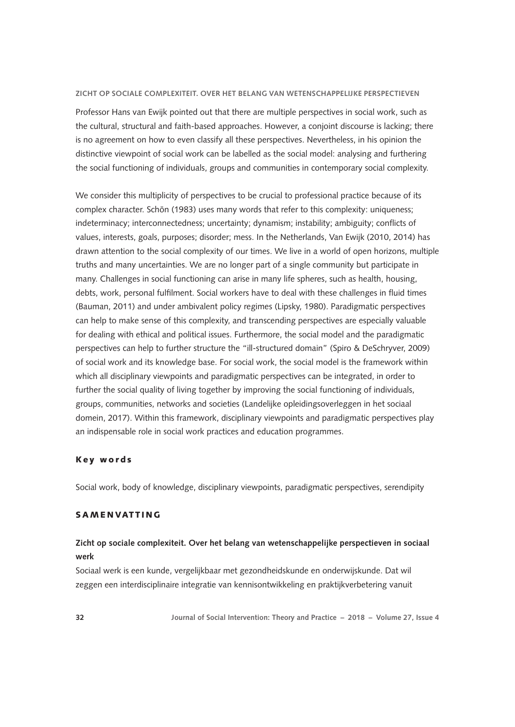Professor Hans van Ewijk pointed out that there are multiple perspectives in social work, such as the cultural, structural and faith-based approaches. However, a conjoint discourse is lacking; there is no agreement on how to even classify all these perspectives. Nevertheless, in his opinion the distinctive viewpoint of social work can be labelled as the social model: analysing and furthering the social functioning of individuals, groups and communities in contemporary social complexity.

We consider this multiplicity of perspectives to be crucial to professional practice because of its complex character. Schön (1983) uses many words that refer to this complexity: uniqueness; indeterminacy; interconnectedness; uncertainty; dynamism; instability; ambiguity; conflicts of values, interests, goals, purposes; disorder; mess. In the Netherlands, Van Ewijk (2010, 2014) has drawn attention to the social complexity of our times. We live in a world of open horizons, multiple truths and many uncertainties. We are no longer part of a single community but participate in many. Challenges in social functioning can arise in many life spheres, such as health, housing, debts, work, personal fulfilment. Social workers have to deal with these challenges in fluid times (Bauman, 2011) and under ambivalent policy regimes (Lipsky, 1980). Paradigmatic perspectives can help to make sense of this complexity, and transcending perspectives are especially valuable for dealing with ethical and political issues. Furthermore, the social model and the paradigmatic perspectives can help to further structure the "ill-structured domain" (Spiro & DeSchryver, 2009) of social work and its knowledge base. For social work, the social model is the framework within which all disciplinary viewpoints and paradigmatic perspectives can be integrated, in order to further the social quality of living together by improving the social functioning of individuals, groups, communities, networks and societies (Landelijke opleidingsoverleggen in het sociaal domein, 2017). Within this framework, disciplinary viewpoints and paradigmatic perspectives play an indispensable role in social work practices and education programmes.

## Key words

Social work, body of knowledge, disciplinary viewpoints, paradigmatic perspectives, serendipity

## SAMENVATTING

## **Zicht op sociale complexiteit. Over het belang van wetenschappelijke perspectieven in sociaal werk**

Sociaal werk is een kunde, vergelijkbaar met gezondheidskunde en onderwijskunde. Dat wil zeggen een interdisciplinaire integratie van kennisontwikkeling en praktijkverbetering vanuit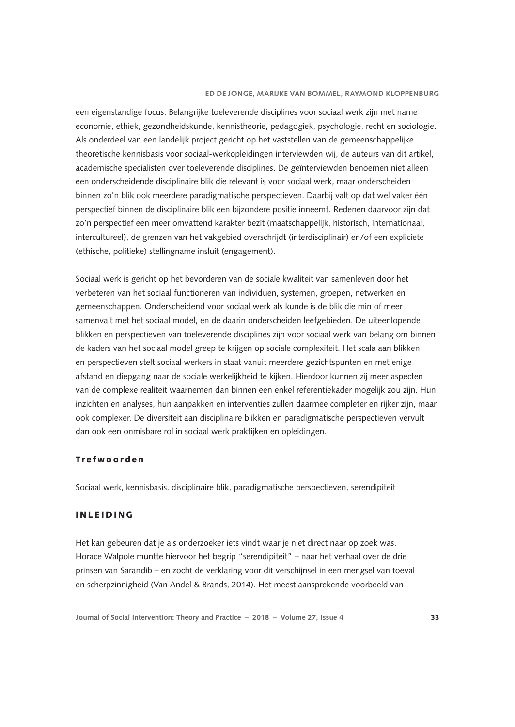een eigenstandige focus. Belangrijke toeleverende disciplines voor sociaal werk zijn met name economie, ethiek, gezondheidskunde, kennistheorie, pedagogiek, psychologie, recht en sociologie. Als onderdeel van een landelijk project gericht op het vaststellen van de gemeenschappelijke theoretische kennisbasis voor sociaal-werkopleidingen interviewden wij, de auteurs van dit artikel, academische specialisten over toeleverende disciplines. De geïnterviewden benoemen niet alleen een onderscheidende disciplinaire blik die relevant is voor sociaal werk, maar onderscheiden binnen zo'n blik ook meerdere paradigmatische perspectieven. Daarbij valt op dat wel vaker één perspectief binnen de disciplinaire blik een bijzondere positie inneemt. Redenen daarvoor zijn dat zo'n perspectief een meer omvattend karakter bezit (maatschappelijk, historisch, internationaal, intercultureel), de grenzen van het vakgebied overschrijdt (interdisciplinair) en/of een expliciete (ethische, politieke) stellingname insluit (engagement).

Sociaal werk is gericht op het bevorderen van de sociale kwaliteit van samenleven door het verbeteren van het sociaal functioneren van individuen, systemen, groepen, netwerken en gemeenschappen. Onderscheidend voor sociaal werk als kunde is de blik die min of meer samenvalt met het sociaal model, en de daarin onderscheiden leefgebieden. De uiteenlopende blikken en perspectieven van toeleverende disciplines zijn voor sociaal werk van belang om binnen de kaders van het sociaal model greep te krijgen op sociale complexiteit. Het scala aan blikken en perspectieven stelt sociaal werkers in staat vanuit meerdere gezichtspunten en met enige afstand en diepgang naar de sociale werkelijkheid te kijken. Hierdoor kunnen zij meer aspecten van de complexe realiteit waarnemen dan binnen een enkel referentiekader mogelijk zou zijn. Hun inzichten en analyses, hun aanpakken en interventies zullen daarmee completer en rijker zijn, maar ook complexer. De diversiteit aan disciplinaire blikken en paradigmatische perspectieven vervult dan ook een onmisbare rol in sociaal werk praktijken en opleidingen.

## Trefwoorden

Sociaal werk, kennisbasis, disciplinaire blik, paradigmatische perspectieven, serendipiteit

## INLEIDING

Het kan gebeuren dat je als onderzoeker iets vindt waar je niet direct naar op zoek was. Horace Walpole muntte hiervoor het begrip "serendipiteit" – naar het verhaal over de drie prinsen van Sarandib – en zocht de verklaring voor dit verschijnsel in een mengsel van toeval en scherpzinnigheid (Van Andel & Brands, 2014). Het meest aansprekende voorbeeld van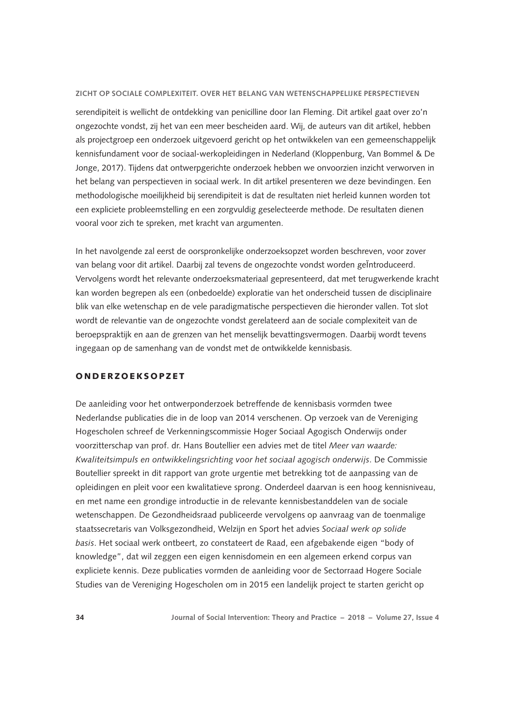serendipiteit is wellicht de ontdekking van penicilline door Ian Fleming. Dit artikel gaat over zo'n ongezochte vondst, zij het van een meer bescheiden aard. Wij, de auteurs van dit artikel, hebben als projectgroep een onderzoek uitgevoerd gericht op het ontwikkelen van een gemeenschappelijk kennisfundament voor de sociaal-werkopleidingen in Nederland (Kloppenburg, Van Bommel & De Jonge, 2017). Tijdens dat ontwerpgerichte onderzoek hebben we onvoorzien inzicht verworven in het belang van perspectieven in sociaal werk. In dit artikel presenteren we deze bevindingen. Een methodologische moeilijkheid bij serendipiteit is dat de resultaten niet herleid kunnen worden tot een expliciete probleemstelling en een zorgvuldig geselecteerde methode. De resultaten dienen vooral voor zich te spreken, met kracht van argumenten.

In het navolgende zal eerst de oorspronkelijke onderzoeksopzet worden beschreven, voor zover van belang voor dit artikel. Daarbij zal tevens de ongezochte vondst worden geÏntroduceerd. Vervolgens wordt het relevante onderzoeksmateriaal gepresenteerd, dat met terugwerkende kracht kan worden begrepen als een (onbedoelde) exploratie van het onderscheid tussen de disciplinaire blik van elke wetenschap en de vele paradigmatische perspectieven die hieronder vallen. Tot slot wordt de relevantie van de ongezochte vondst gerelateerd aan de sociale complexiteit van de beroepspraktijk en aan de grenzen van het menselijk bevattingsvermogen. Daarbij wordt tevens ingegaan op de samenhang van de vondst met de ontwikkelde kennisbasis.

### ONDERZOEKSOPZET

De aanleiding voor het ontwerponderzoek betreffende de kennisbasis vormden twee Nederlandse publicaties die in de loop van 2014 verschenen. Op verzoek van de Vereniging Hogescholen schreef de Verkenningscommissie Hoger Sociaal Agogisch Onderwijs onder voorzitterschap van prof. dr. Hans Boutellier een advies met de titel *Meer van waarde: Kwaliteitsimpuls en ontwikkelingsrichting voor het sociaal agogisch onderwijs*. De Commissie Boutellier spreekt in dit rapport van grote urgentie met betrekking tot de aanpassing van de opleidingen en pleit voor een kwalitatieve sprong. Onderdeel daarvan is een hoog kennisniveau, en met name een grondige introductie in de relevante kennisbestanddelen van de sociale wetenschappen. De Gezondheidsraad publiceerde vervolgens op aanvraag van de toenmalige staatssecretaris van Volksgezondheid, Welzijn en Sport het advies *Sociaal werk op solide basis*. Het sociaal werk ontbeert, zo constateert de Raad, een afgebakende eigen "body of knowledge", dat wil zeggen een eigen kennisdomein en een algemeen erkend corpus van expliciete kennis. Deze publicaties vormden de aanleiding voor de Sectorraad Hogere Sociale Studies van de Vereniging Hogescholen om in 2015 een landelijk project te starten gericht op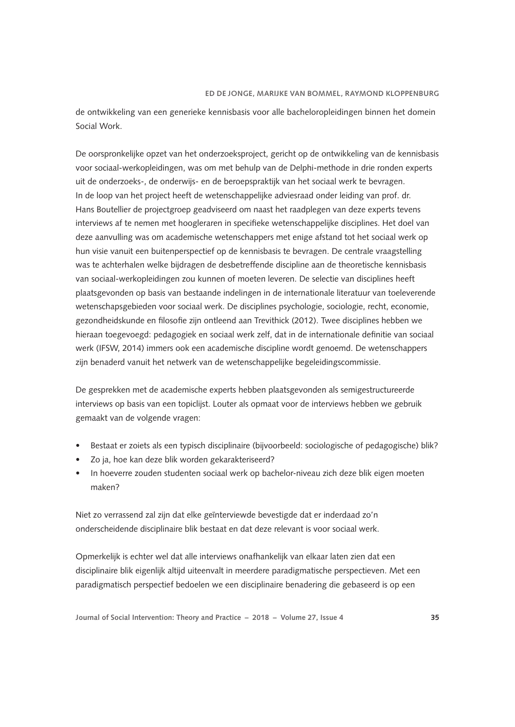de ontwikkeling van een generieke kennisbasis voor alle bacheloropleidingen binnen het domein Social Work.

De oorspronkelijke opzet van het onderzoeksproject, gericht op de ontwikkeling van de kennisbasis voor sociaal-werkopleidingen, was om met behulp van de Delphi-methode in drie ronden experts uit de onderzoeks-, de onderwijs- en de beroepspraktijk van het sociaal werk te bevragen. In de loop van het project heeft de wetenschappelijke adviesraad onder leiding van prof. dr. Hans Boutellier de projectgroep geadviseerd om naast het raadplegen van deze experts tevens interviews af te nemen met hoogleraren in specifieke wetenschappelijke disciplines. Het doel van deze aanvulling was om academische wetenschappers met enige afstand tot het sociaal werk op hun visie vanuit een buitenperspectief op de kennisbasis te bevragen. De centrale vraagstelling was te achterhalen welke bijdragen de desbetreffende discipline aan de theoretische kennisbasis van sociaal-werkopleidingen zou kunnen of moeten leveren. De selectie van disciplines heeft plaatsgevonden op basis van bestaande indelingen in de internationale literatuur van toeleverende wetenschapsgebieden voor sociaal werk. De disciplines psychologie, sociologie, recht, economie, gezondheidskunde en filosofie zijn ontleend aan Trevithick (2012). Twee disciplines hebben we hieraan toegevoegd: pedagogiek en sociaal werk zelf, dat in de internationale definitie van sociaal werk (IFSW, 2014) immers ook een academische discipline wordt genoemd. De wetenschappers zijn benaderd vanuit het netwerk van de wetenschappelijke begeleidingscommissie.

De gesprekken met de academische experts hebben plaatsgevonden als semigestructureerde interviews op basis van een topiclijst. Louter als opmaat voor de interviews hebben we gebruik gemaakt van de volgende vragen:

- Bestaat er zoiets als een typisch disciplinaire (bijvoorbeeld: sociologische of pedagogische) blik?
- Zo ja, hoe kan deze blik worden gekarakteriseerd?
- In hoeverre zouden studenten sociaal werk op bachelor-niveau zich deze blik eigen moeten maken?

Niet zo verrassend zal zijn dat elke geïnterviewde bevestigde dat er inderdaad zo'n onderscheidende disciplinaire blik bestaat en dat deze relevant is voor sociaal werk.

Opmerkelijk is echter wel dat alle interviews onafhankelijk van elkaar laten zien dat een disciplinaire blik eigenlijk altijd uiteenvalt in meerdere paradigmatische perspectieven. Met een paradigmatisch perspectief bedoelen we een disciplinaire benadering die gebaseerd is op een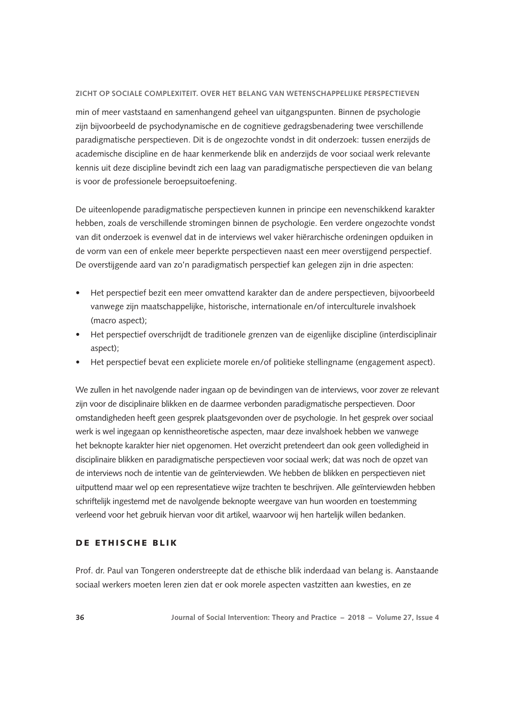min of meer vaststaand en samenhangend geheel van uitgangspunten. Binnen de psychologie zijn bijvoorbeeld de psychodynamische en de cognitieve gedragsbenadering twee verschillende paradigmatische perspectieven. Dit is de ongezochte vondst in dit onderzoek: tussen enerzijds de academische discipline en de haar kenmerkende blik en anderzijds de voor sociaal werk relevante kennis uit deze discipline bevindt zich een laag van paradigmatische perspectieven die van belang is voor de professionele beroepsuitoefening.

De uiteenlopende paradigmatische perspectieven kunnen in principe een nevenschikkend karakter hebben, zoals de verschillende stromingen binnen de psychologie. Een verdere ongezochte vondst van dit onderzoek is evenwel dat in de interviews wel vaker hiërarchische ordeningen opduiken in de vorm van een of enkele meer beperkte perspectieven naast een meer overstijgend perspectief. De overstijgende aard van zo'n paradigmatisch perspectief kan gelegen zijn in drie aspecten:

- • Het perspectief bezit een meer omvattend karakter dan de andere perspectieven, bijvoorbeeld vanwege zijn maatschappelijke, historische, internationale en/of interculturele invalshoek (macro aspect);
- • Het perspectief overschrijdt de traditionele grenzen van de eigenlijke discipline (interdisciplinair aspect);
- Het perspectief bevat een expliciete morele en/of politieke stellingname (engagement aspect).

We zullen in het navolgende nader ingaan op de bevindingen van de interviews, voor zover ze relevant zijn voor de disciplinaire blikken en de daarmee verbonden paradigmatische perspectieven. Door omstandigheden heeft geen gesprek plaatsgevonden over de psychologie. In het gesprek over sociaal werk is wel ingegaan op kennistheoretische aspecten, maar deze invalshoek hebben we vanwege het beknopte karakter hier niet opgenomen. Het overzicht pretendeert dan ook geen volledigheid in disciplinaire blikken en paradigmatische perspectieven voor sociaal werk; dat was noch de opzet van de interviews noch de intentie van de geïnterviewden. We hebben de blikken en perspectieven niet uitputtend maar wel op een representatieve wijze trachten te beschrijven. Alle geïnterviewden hebben schriftelijk ingestemd met de navolgende beknopte weergave van hun woorden en toestemming verleend voor het gebruik hiervan voor dit artikel, waarvoor wij hen hartelijk willen bedanken.

## DE ETHISCHE BLIK

Prof. dr. Paul van Tongeren onderstreepte dat de ethische blik inderdaad van belang is. Aanstaande sociaal werkers moeten leren zien dat er ook morele aspecten vastzitten aan kwesties, en ze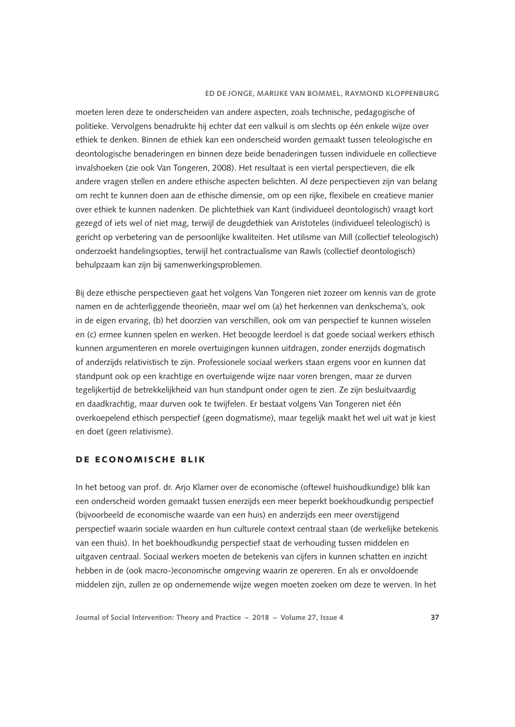moeten leren deze te onderscheiden van andere aspecten, zoals technische, pedagogische of politieke. Vervolgens benadrukte hij echter dat een valkuil is om slechts op één enkele wijze over ethiek te denken. Binnen de ethiek kan een onderscheid worden gemaakt tussen teleologische en deontologische benaderingen en binnen deze beide benaderingen tussen individuele en collectieve invalshoeken (zie ook Van Tongeren, 2008). Het resultaat is een viertal perspectieven, die elk andere vragen stellen en andere ethische aspecten belichten. Al deze perspectieven zijn van belang om recht te kunnen doen aan de ethische dimensie, om op een rijke, flexibele en creatieve manier over ethiek te kunnen nadenken. De plichtethiek van Kant (individueel deontologisch) vraagt kort gezegd of iets wel of niet mag, terwijl de deugdethiek van Aristoteles (individueel teleologisch) is gericht op verbetering van de persoonlijke kwaliteiten. Het utilisme van Mill (collectief teleologisch) onderzoekt handelingsopties, terwijl het contractualisme van Rawls (collectief deontologisch) behulpzaam kan zijn bij samenwerkingsproblemen.

Bij deze ethische perspectieven gaat het volgens Van Tongeren niet zozeer om kennis van de grote namen en de achterliggende theorieën, maar wel om (a) het herkennen van denkschema's, ook in de eigen ervaring, (b) het doorzien van verschillen, ook om van perspectief te kunnen wisselen en (c) ermee kunnen spelen en werken. Het beoogde leerdoel is dat goede sociaal werkers ethisch kunnen argumenteren en morele overtuigingen kunnen uitdragen, zonder enerzijds dogmatisch of anderzijds relativistisch te zijn. Professionele sociaal werkers staan ergens voor en kunnen dat standpunt ook op een krachtige en overtuigende wijze naar voren brengen, maar ze durven tegelijkertijd de betrekkelijkheid van hun standpunt onder ogen te zien. Ze zijn besluitvaardig en daadkrachtig, maar durven ook te twijfelen. Er bestaat volgens Van Tongeren niet één overkoepelend ethisch perspectief (geen dogmatisme), maar tegelijk maakt het wel uit wat je kiest en doet (geen relativisme).

## DE ECONOMISCHE BLIK

In het betoog van prof. dr. Arjo Klamer over de economische (oftewel huishoudkundige) blik kan een onderscheid worden gemaakt tussen enerzijds een meer beperkt boekhoudkundig perspectief (bijvoorbeeld de economische waarde van een huis) en anderzijds een meer overstijgend perspectief waarin sociale waarden en hun culturele context centraal staan (de werkelijke betekenis van een thuis). In het boekhoudkundig perspectief staat de verhouding tussen middelen en uitgaven centraal. Sociaal werkers moeten de betekenis van cijfers in kunnen schatten en inzicht hebben in de (ook macro-)economische omgeving waarin ze opereren. En als er onvoldoende middelen zijn, zullen ze op ondernemende wijze wegen moeten zoeken om deze te werven. In het

**Journal of Social Intervention: Theory and Practice – 2018 – Volume 27, Issue 4 37**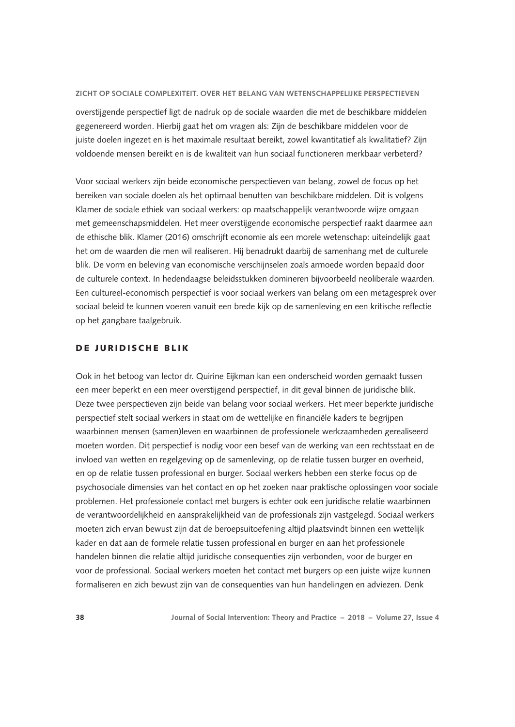overstijgende perspectief ligt de nadruk op de sociale waarden die met de beschikbare middelen gegenereerd worden. Hierbij gaat het om vragen als: Zijn de beschikbare middelen voor de juiste doelen ingezet en is het maximale resultaat bereikt, zowel kwantitatief als kwalitatief? Zijn voldoende mensen bereikt en is de kwaliteit van hun sociaal functioneren merkbaar verbeterd?

Voor sociaal werkers zijn beide economische perspectieven van belang, zowel de focus op het bereiken van sociale doelen als het optimaal benutten van beschikbare middelen. Dit is volgens Klamer de sociale ethiek van sociaal werkers: op maatschappelijk verantwoorde wijze omgaan met gemeenschapsmiddelen. Het meer overstijgende economische perspectief raakt daarmee aan de ethische blik. Klamer (2016) omschrijft economie als een morele wetenschap: uiteindelijk gaat het om de waarden die men wil realiseren. Hij benadrukt daarbij de samenhang met de culturele blik. De vorm en beleving van economische verschijnselen zoals armoede worden bepaald door de culturele context. In hedendaagse beleidsstukken domineren bijvoorbeeld neoliberale waarden. Een cultureel-economisch perspectief is voor sociaal werkers van belang om een metagesprek over sociaal beleid te kunnen voeren vanuit een brede kijk op de samenleving en een kritische reflectie op het gangbare taalgebruik.

## DE JURIDISCHE BLIK

Ook in het betoog van lector dr. Quirine Eijkman kan een onderscheid worden gemaakt tussen een meer beperkt en een meer overstijgend perspectief, in dit geval binnen de juridische blik. Deze twee perspectieven zijn beide van belang voor sociaal werkers. Het meer beperkte juridische perspectief stelt sociaal werkers in staat om de wettelijke en financiële kaders te begrijpen waarbinnen mensen (samen)leven en waarbinnen de professionele werkzaamheden gerealiseerd moeten worden. Dit perspectief is nodig voor een besef van de werking van een rechtsstaat en de invloed van wetten en regelgeving op de samenleving, op de relatie tussen burger en overheid, en op de relatie tussen professional en burger. Sociaal werkers hebben een sterke focus op de psychosociale dimensies van het contact en op het zoeken naar praktische oplossingen voor sociale problemen. Het professionele contact met burgers is echter ook een juridische relatie waarbinnen de verantwoordelijkheid en aansprakelijkheid van de professionals zijn vastgelegd. Sociaal werkers moeten zich ervan bewust zijn dat de beroepsuitoefening altijd plaatsvindt binnen een wettelijk kader en dat aan de formele relatie tussen professional en burger en aan het professionele handelen binnen die relatie altijd juridische consequenties zijn verbonden, voor de burger en voor de professional. Sociaal werkers moeten het contact met burgers op een juiste wijze kunnen formaliseren en zich bewust zijn van de consequenties van hun handelingen en adviezen. Denk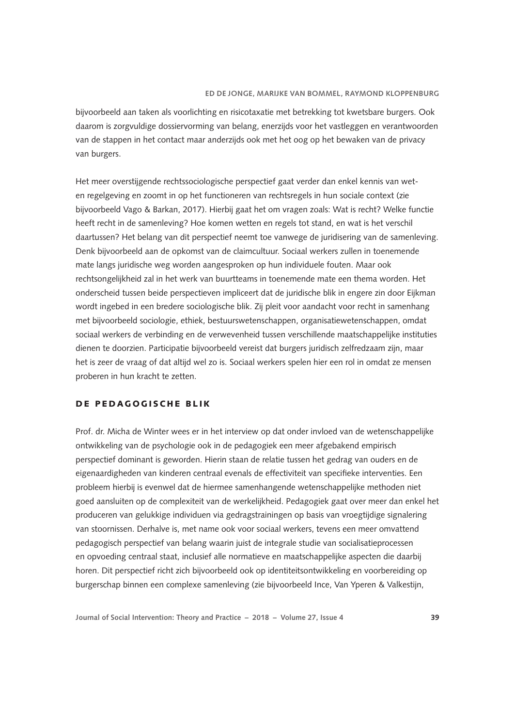bijvoorbeeld aan taken als voorlichting en risicotaxatie met betrekking tot kwetsbare burgers. Ook daarom is zorgvuldige dossiervorming van belang, enerzijds voor het vastleggen en verantwoorden van de stappen in het contact maar anderzijds ook met het oog op het bewaken van de privacy van burgers.

Het meer overstijgende rechtssociologische perspectief gaat verder dan enkel kennis van weten regelgeving en zoomt in op het functioneren van rechtsregels in hun sociale context (zie bijvoorbeeld Vago & Barkan, 2017). Hierbij gaat het om vragen zoals: Wat is recht? Welke functie heeft recht in de samenleving? Hoe komen wetten en regels tot stand, en wat is het verschil daartussen? Het belang van dit perspectief neemt toe vanwege de juridisering van de samenleving. Denk bijvoorbeeld aan de opkomst van de claimcultuur. Sociaal werkers zullen in toenemende mate langs juridische weg worden aangesproken op hun individuele fouten. Maar ook rechtsongelijkheid zal in het werk van buurtteams in toenemende mate een thema worden. Het onderscheid tussen beide perspectieven impliceert dat de juridische blik in engere zin door Eijkman wordt ingebed in een bredere sociologische blik. Zij pleit voor aandacht voor recht in samenhang met bijvoorbeeld sociologie, ethiek, bestuurswetenschappen, organisatiewetenschappen, omdat sociaal werkers de verbinding en de verwevenheid tussen verschillende maatschappelijke instituties dienen te doorzien. Participatie bijvoorbeeld vereist dat burgers juridisch zelfredzaam zijn, maar het is zeer de vraag of dat altijd wel zo is. Sociaal werkers spelen hier een rol in omdat ze mensen proberen in hun kracht te zetten.

## DE PEDAGOGISCHE BLIK

Prof. dr. Micha de Winter wees er in het interview op dat onder invloed van de wetenschappelijke ontwikkeling van de psychologie ook in de pedagogiek een meer afgebakend empirisch perspectief dominant is geworden. Hierin staan de relatie tussen het gedrag van ouders en de eigenaardigheden van kinderen centraal evenals de effectiviteit van specifieke interventies. Een probleem hierbij is evenwel dat de hiermee samenhangende wetenschappelijke methoden niet goed aansluiten op de complexiteit van de werkelijkheid. Pedagogiek gaat over meer dan enkel het produceren van gelukkige individuen via gedragstrainingen op basis van vroegtijdige signalering van stoornissen. Derhalve is, met name ook voor sociaal werkers, tevens een meer omvattend pedagogisch perspectief van belang waarin juist de integrale studie van socialisatieprocessen en opvoeding centraal staat, inclusief alle normatieve en maatschappelijke aspecten die daarbij horen. Dit perspectief richt zich bijvoorbeeld ook op identiteitsontwikkeling en voorbereiding op burgerschap binnen een complexe samenleving (zie bijvoorbeeld Ince, Van Yperen & Valkestijn,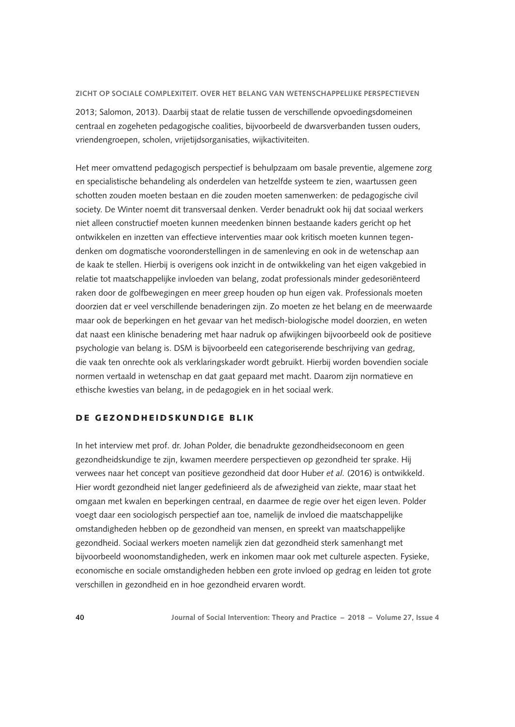2013; Salomon, 2013). Daarbij staat de relatie tussen de verschillende opvoedingsdomeinen centraal en zogeheten pedagogische coalities, bijvoorbeeld de dwarsverbanden tussen ouders, vriendengroepen, scholen, vrijetijdsorganisaties, wijkactiviteiten.

Het meer omvattend pedagogisch perspectief is behulpzaam om basale preventie, algemene zorg en specialistische behandeling als onderdelen van hetzelfde systeem te zien, waartussen geen schotten zouden moeten bestaan en die zouden moeten samenwerken: de pedagogische civil society. De Winter noemt dit transversaal denken. Verder benadrukt ook hij dat sociaal werkers niet alleen constructief moeten kunnen meedenken binnen bestaande kaders gericht op het ontwikkelen en inzetten van effectieve interventies maar ook kritisch moeten kunnen tegendenken om dogmatische vooronderstellingen in de samenleving en ook in de wetenschap aan de kaak te stellen. Hierbij is overigens ook inzicht in de ontwikkeling van het eigen vakgebied in relatie tot maatschappelijke invloeden van belang, zodat professionals minder gedesoriënteerd raken door de golfbewegingen en meer greep houden op hun eigen vak. Professionals moeten doorzien dat er veel verschillende benaderingen zijn. Zo moeten ze het belang en de meerwaarde maar ook de beperkingen en het gevaar van het medisch-biologische model doorzien, en weten dat naast een klinische benadering met haar nadruk op afwijkingen bijvoorbeeld ook de positieve psychologie van belang is. DSM is bijvoorbeeld een categoriserende beschrijving van gedrag, die vaak ten onrechte ook als verklaringskader wordt gebruikt. Hierbij worden bovendien sociale normen vertaald in wetenschap en dat gaat gepaard met macht. Daarom zijn normatieve en ethische kwesties van belang, in de pedagogiek en in het sociaal werk.

## DE GEZONDHEIDSKUNDIGE BLIK

In het interview met prof. dr. Johan Polder, die benadrukte gezondheidseconoom en geen gezondheidskundige te zijn, kwamen meerdere perspectieven op gezondheid ter sprake. Hij verwees naar het concept van positieve gezondheid dat door Huber *et al.* (2016) is ontwikkeld. Hier wordt gezondheid niet langer gedefinieerd als de afwezigheid van ziekte, maar staat het omgaan met kwalen en beperkingen centraal, en daarmee de regie over het eigen leven. Polder voegt daar een sociologisch perspectief aan toe, namelijk de invloed die maatschappelijke omstandigheden hebben op de gezondheid van mensen, en spreekt van maatschappelijke gezondheid. Sociaal werkers moeten namelijk zien dat gezondheid sterk samenhangt met bijvoorbeeld woonomstandigheden, werk en inkomen maar ook met culturele aspecten. Fysieke, economische en sociale omstandigheden hebben een grote invloed op gedrag en leiden tot grote verschillen in gezondheid en in hoe gezondheid ervaren wordt.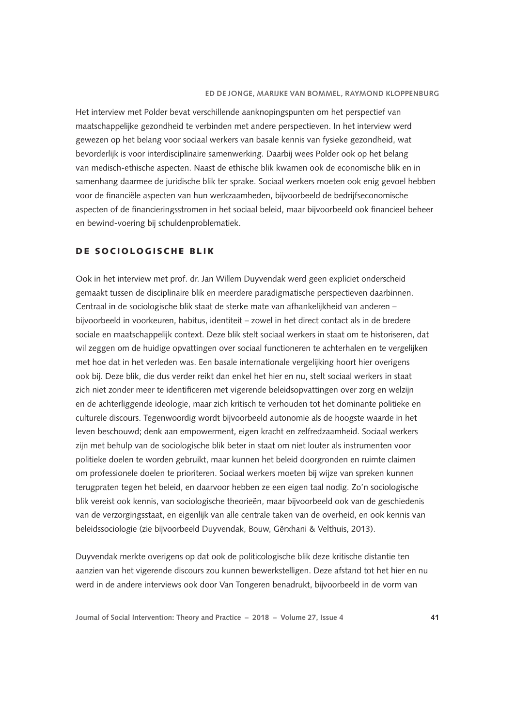Het interview met Polder bevat verschillende aanknopingspunten om het perspectief van maatschappelijke gezondheid te verbinden met andere perspectieven. In het interview werd gewezen op het belang voor sociaal werkers van basale kennis van fysieke gezondheid, wat bevorderlijk is voor interdisciplinaire samenwerking. Daarbij wees Polder ook op het belang van medisch-ethische aspecten. Naast de ethische blik kwamen ook de economische blik en in samenhang daarmee de juridische blik ter sprake. Sociaal werkers moeten ook enig gevoel hebben voor de financiële aspecten van hun werkzaamheden, bijvoorbeeld de bedrijfseconomische aspecten of de financieringsstromen in het sociaal beleid, maar bijvoorbeeld ook financieel beheer en bewind-voering bij schuldenproblematiek.

## DE SOCIOLOGISCHE BLIK

Ook in het interview met prof. dr. Jan Willem Duyvendak werd geen expliciet onderscheid gemaakt tussen de disciplinaire blik en meerdere paradigmatische perspectieven daarbinnen. Centraal in de sociologische blik staat de sterke mate van afhankelijkheid van anderen – bijvoorbeeld in voorkeuren, habitus, identiteit – zowel in het direct contact als in de bredere sociale en maatschappelijk context. Deze blik stelt sociaal werkers in staat om te historiseren, dat wil zeggen om de huidige opvattingen over sociaal functioneren te achterhalen en te vergelijken met hoe dat in het verleden was. Een basale internationale vergelijking hoort hier overigens ook bij. Deze blik, die dus verder reikt dan enkel het hier en nu, stelt sociaal werkers in staat zich niet zonder meer te identificeren met vigerende beleidsopvattingen over zorg en welzijn en de achterliggende ideologie, maar zich kritisch te verhouden tot het dominante politieke en culturele discours. Tegenwoordig wordt bijvoorbeeld autonomie als de hoogste waarde in het leven beschouwd; denk aan empowerment, eigen kracht en zelfredzaamheid. Sociaal werkers zijn met behulp van de sociologische blik beter in staat om niet louter als instrumenten voor politieke doelen te worden gebruikt, maar kunnen het beleid doorgronden en ruimte claimen om professionele doelen te prioriteren. Sociaal werkers moeten bij wijze van spreken kunnen terugpraten tegen het beleid, en daarvoor hebben ze een eigen taal nodig. Zo'n sociologische blik vereist ook kennis, van sociologische theorieën, maar bijvoorbeeld ook van de geschiedenis van de verzorgingsstaat, en eigenlijk van alle centrale taken van de overheid, en ook kennis van beleidssociologie (zie bijvoorbeeld Duyvendak, Bouw, Gërxhani & Velthuis, 2013).

Duyvendak merkte overigens op dat ook de politicologische blik deze kritische distantie ten aanzien van het vigerende discours zou kunnen bewerkstelligen. Deze afstand tot het hier en nu werd in de andere interviews ook door Van Tongeren benadrukt, bijvoorbeeld in de vorm van

**Journal of Social Intervention: Theory and Practice – 2018 – Volume 27, Issue 4 41**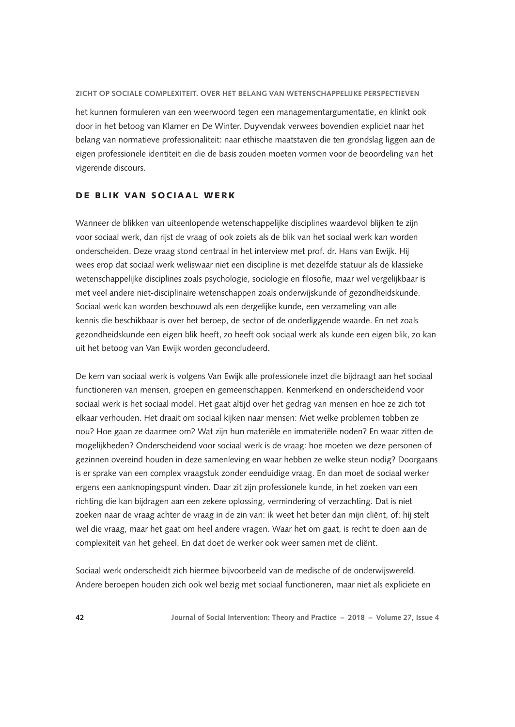het kunnen formuleren van een weerwoord tegen een managementargumentatie, en klinkt ook door in het betoog van Klamer en De Winter. Duyvendak verwees bovendien expliciet naar het belang van normatieve professionaliteit: naar ethische maatstaven die ten grondslag liggen aan de eigen professionele identiteit en die de basis zouden moeten vormen voor de beoordeling van het vigerende discours.

## DE BLIK VAN SOCIAAL WERK

Wanneer de blikken van uiteenlopende wetenschappelijke disciplines waardevol blijken te zijn voor sociaal werk, dan rijst de vraag of ook zoiets als de blik van het sociaal werk kan worden onderscheiden. Deze vraag stond centraal in het interview met prof. dr. Hans van Ewijk. Hij wees erop dat sociaal werk weliswaar niet een discipline is met dezelfde statuur als de klassieke wetenschappelijke disciplines zoals psychologie, sociologie en filosofie, maar wel vergelijkbaar is met veel andere niet-disciplinaire wetenschappen zoals onderwijskunde of gezondheidskunde. Sociaal werk kan worden beschouwd als een dergelijke kunde, een verzameling van alle kennis die beschikbaar is over het beroep, de sector of de onderliggende waarde. En net zoals gezondheidskunde een eigen blik heeft, zo heeft ook sociaal werk als kunde een eigen blik, zo kan uit het betoog van Van Ewijk worden geconcludeerd.

De kern van sociaal werk is volgens Van Ewijk alle professionele inzet die bijdraagt aan het sociaal functioneren van mensen, groepen en gemeenschappen. Kenmerkend en onderscheidend voor sociaal werk is het sociaal model. Het gaat altijd over het gedrag van mensen en hoe ze zich tot elkaar verhouden. Het draait om sociaal kijken naar mensen: Met welke problemen tobben ze nou? Hoe gaan ze daarmee om? Wat zijn hun materiële en immateriële noden? En waar zitten de mogelijkheden? Onderscheidend voor sociaal werk is de vraag: hoe moeten we deze personen of gezinnen overeind houden in deze samenleving en waar hebben ze welke steun nodig? Doorgaans is er sprake van een complex vraagstuk zonder eenduidige vraag. En dan moet de sociaal werker ergens een aanknopingspunt vinden. Daar zit zijn professionele kunde, in het zoeken van een richting die kan bijdragen aan een zekere oplossing, vermindering of verzachting. Dat is niet zoeken naar de vraag achter de vraag in de zin van: ik weet het beter dan mijn cliënt, of: hij stelt wel die vraag, maar het gaat om heel andere vragen. Waar het om gaat, is recht te doen aan de complexiteit van het geheel. En dat doet de werker ook weer samen met de cliënt.

Sociaal werk onderscheidt zich hiermee bijvoorbeeld van de medische of de onderwijswereld. Andere beroepen houden zich ook wel bezig met sociaal functioneren, maar niet als expliciete en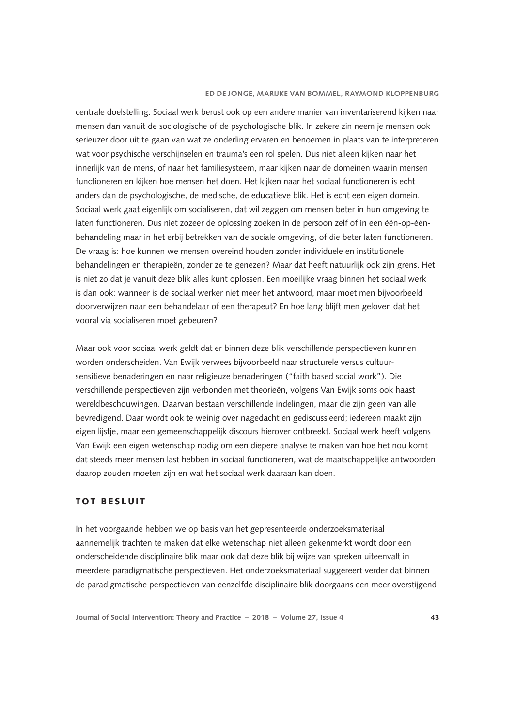centrale doelstelling. Sociaal werk berust ook op een andere manier van inventariserend kijken naar mensen dan vanuit de sociologische of de psychologische blik. In zekere zin neem je mensen ook serieuzer door uit te gaan van wat ze onderling ervaren en benoemen in plaats van te interpreteren wat voor psychische verschijnselen en trauma's een rol spelen. Dus niet alleen kijken naar het innerlijk van de mens, of naar het familiesysteem, maar kijken naar de domeinen waarin mensen functioneren en kijken hoe mensen het doen. Het kijken naar het sociaal functioneren is echt anders dan de psychologische, de medische, de educatieve blik. Het is echt een eigen domein. Sociaal werk gaat eigenlijk om socialiseren, dat wil zeggen om mensen beter in hun omgeving te laten functioneren. Dus niet zozeer de oplossing zoeken in de persoon zelf of in een één-op-éénbehandeling maar in het erbij betrekken van de sociale omgeving, of die beter laten functioneren. De vraag is: hoe kunnen we mensen overeind houden zonder individuele en institutionele behandelingen en therapieën, zonder ze te genezen? Maar dat heeft natuurlijk ook zijn grens. Het is niet zo dat je vanuit deze blik alles kunt oplossen. Een moeilijke vraag binnen het sociaal werk is dan ook: wanneer is de sociaal werker niet meer het antwoord, maar moet men bijvoorbeeld doorverwijzen naar een behandelaar of een therapeut? En hoe lang blijft men geloven dat het vooral via socialiseren moet gebeuren?

Maar ook voor sociaal werk geldt dat er binnen deze blik verschillende perspectieven kunnen worden onderscheiden. Van Ewijk verwees bijvoorbeeld naar structurele versus cultuursensitieve benaderingen en naar religieuze benaderingen ("faith based social work"). Die verschillende perspectieven zijn verbonden met theorieën, volgens Van Ewijk soms ook haast wereldbeschouwingen. Daarvan bestaan verschillende indelingen, maar die zijn geen van alle bevredigend. Daar wordt ook te weinig over nagedacht en gediscussieerd; iedereen maakt zijn eigen lijstje, maar een gemeenschappelijk discours hierover ontbreekt. Sociaal werk heeft volgens Van Ewijk een eigen wetenschap nodig om een diepere analyse te maken van hoe het nou komt dat steeds meer mensen last hebben in sociaal functioneren, wat de maatschappelijke antwoorden daarop zouden moeten zijn en wat het sociaal werk daaraan kan doen.

## TOT BESLUIT

In het voorgaande hebben we op basis van het gepresenteerde onderzoeksmateriaal aannemelijk trachten te maken dat elke wetenschap niet alleen gekenmerkt wordt door een onderscheidende disciplinaire blik maar ook dat deze blik bij wijze van spreken uiteenvalt in meerdere paradigmatische perspectieven. Het onderzoeksmateriaal suggereert verder dat binnen de paradigmatische perspectieven van eenzelfde disciplinaire blik doorgaans een meer overstijgend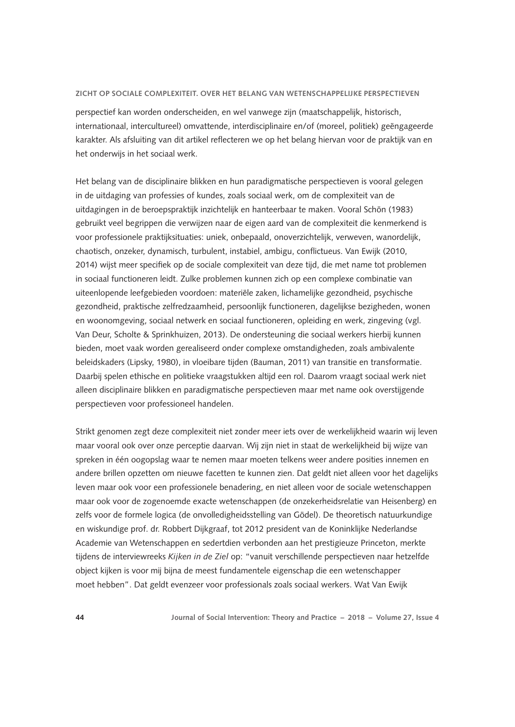perspectief kan worden onderscheiden, en wel vanwege zijn (maatschappelijk, historisch, internationaal, intercultureel) omvattende, interdisciplinaire en/of (moreel, politiek) geëngageerde karakter. Als afsluiting van dit artikel reflecteren we op het belang hiervan voor de praktijk van en het onderwijs in het sociaal werk.

Het belang van de disciplinaire blikken en hun paradigmatische perspectieven is vooral gelegen in de uitdaging van professies of kundes, zoals sociaal werk, om de complexiteit van de uitdagingen in de beroepspraktijk inzichtelijk en hanteerbaar te maken. Vooral Schön (1983) gebruikt veel begrippen die verwijzen naar de eigen aard van de complexiteit die kenmerkend is voor professionele praktijksituaties: uniek, onbepaald, onoverzichtelijk, verweven, wanordelijk, chaotisch, onzeker, dynamisch, turbulent, instabiel, ambigu, conflictueus. Van Ewijk (2010, 2014) wijst meer specifiek op de sociale complexiteit van deze tijd, die met name tot problemen in sociaal functioneren leidt. Zulke problemen kunnen zich op een complexe combinatie van uiteenlopende leefgebieden voordoen: materiële zaken, lichamelijke gezondheid, psychische gezondheid, praktische zelfredzaamheid, persoonlijk functioneren, dagelijkse bezigheden, wonen en woonomgeving, sociaal netwerk en sociaal functioneren, opleiding en werk, zingeving (vgl. Van Deur, Scholte & Sprinkhuizen, 2013). De ondersteuning die sociaal werkers hierbij kunnen bieden, moet vaak worden gerealiseerd onder complexe omstandigheden, zoals ambivalente beleidskaders (Lipsky, 1980), in vloeibare tijden (Bauman, 2011) van transitie en transformatie. Daarbij spelen ethische en politieke vraagstukken altijd een rol. Daarom vraagt sociaal werk niet alleen disciplinaire blikken en paradigmatische perspectieven maar met name ook overstijgende perspectieven voor professioneel handelen.

Strikt genomen zegt deze complexiteit niet zonder meer iets over de werkelijkheid waarin wij leven maar vooral ook over onze perceptie daarvan. Wij zijn niet in staat de werkelijkheid bij wijze van spreken in één oogopslag waar te nemen maar moeten telkens weer andere posities innemen en andere brillen opzetten om nieuwe facetten te kunnen zien. Dat geldt niet alleen voor het dagelijks leven maar ook voor een professionele benadering, en niet alleen voor de sociale wetenschappen maar ook voor de zogenoemde exacte wetenschappen (de onzekerheidsrelatie van Heisenberg) en zelfs voor de formele logica (de onvolledigheidsstelling van Gödel). De theoretisch natuurkundige en wiskundige prof. dr. Robbert Dijkgraaf, tot 2012 president van de Koninklijke Nederlandse Academie van Wetenschappen en sedertdien verbonden aan het prestigieuze Princeton, merkte tijdens de interviewreeks *Kijken in de Ziel* op: "vanuit verschillende perspectieven naar hetzelfde object kijken is voor mij bijna de meest fundamentele eigenschap die een wetenschapper moet hebben". Dat geldt evenzeer voor professionals zoals sociaal werkers. Wat Van Ewijk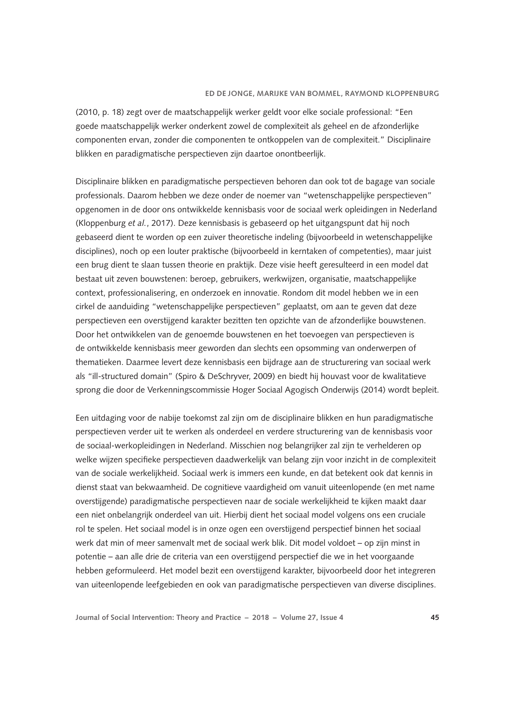(2010, p. 18) zegt over de maatschappelijk werker geldt voor elke sociale professional: "Een goede maatschappelijk werker onderkent zowel de complexiteit als geheel en de afzonderlijke componenten ervan, zonder die componenten te ontkoppelen van de complexiteit." Disciplinaire blikken en paradigmatische perspectieven zijn daartoe onontbeerlijk.

Disciplinaire blikken en paradigmatische perspectieven behoren dan ook tot de bagage van sociale professionals. Daarom hebben we deze onder de noemer van "wetenschappelijke perspectieven" opgenomen in de door ons ontwikkelde kennisbasis voor de sociaal werk opleidingen in Nederland (Kloppenburg *et al.*, 2017). Deze kennisbasis is gebaseerd op het uitgangspunt dat hij noch gebaseerd dient te worden op een zuiver theoretische indeling (bijvoorbeeld in wetenschappelijke disciplines), noch op een louter praktische (bijvoorbeeld in kerntaken of competenties), maar juist een brug dient te slaan tussen theorie en praktijk. Deze visie heeft geresulteerd in een model dat bestaat uit zeven bouwstenen: beroep, gebruikers, werkwijzen, organisatie, maatschappelijke context, professionalisering, en onderzoek en innovatie. Rondom dit model hebben we in een cirkel de aanduiding "wetenschappelijke perspectieven" geplaatst, om aan te geven dat deze perspectieven een overstijgend karakter bezitten ten opzichte van de afzonderlijke bouwstenen. Door het ontwikkelen van de genoemde bouwstenen en het toevoegen van perspectieven is de ontwikkelde kennisbasis meer geworden dan slechts een opsomming van onderwerpen of thematieken. Daarmee levert deze kennisbasis een bijdrage aan de structurering van sociaal werk als "ill-structured domain" (Spiro & DeSchryver, 2009) en biedt hij houvast voor de kwalitatieve sprong die door de Verkenningscommissie Hoger Sociaal Agogisch Onderwijs (2014) wordt bepleit.

Een uitdaging voor de nabije toekomst zal zijn om de disciplinaire blikken en hun paradigmatische perspectieven verder uit te werken als onderdeel en verdere structurering van de kennisbasis voor de sociaal-werkopleidingen in Nederland. Misschien nog belangrijker zal zijn te verhelderen op welke wijzen specifieke perspectieven daadwerkelijk van belang zijn voor inzicht in de complexiteit van de sociale werkelijkheid. Sociaal werk is immers een kunde, en dat betekent ook dat kennis in dienst staat van bekwaamheid. De cognitieve vaardigheid om vanuit uiteenlopende (en met name overstijgende) paradigmatische perspectieven naar de sociale werkelijkheid te kijken maakt daar een niet onbelangrijk onderdeel van uit. Hierbij dient het sociaal model volgens ons een cruciale rol te spelen. Het sociaal model is in onze ogen een overstijgend perspectief binnen het sociaal werk dat min of meer samenvalt met de sociaal werk blik. Dit model voldoet – op zijn minst in potentie – aan alle drie de criteria van een overstijgend perspectief die we in het voorgaande hebben geformuleerd. Het model bezit een overstijgend karakter, bijvoorbeeld door het integreren van uiteenlopende leefgebieden en ook van paradigmatische perspectieven van diverse disciplines.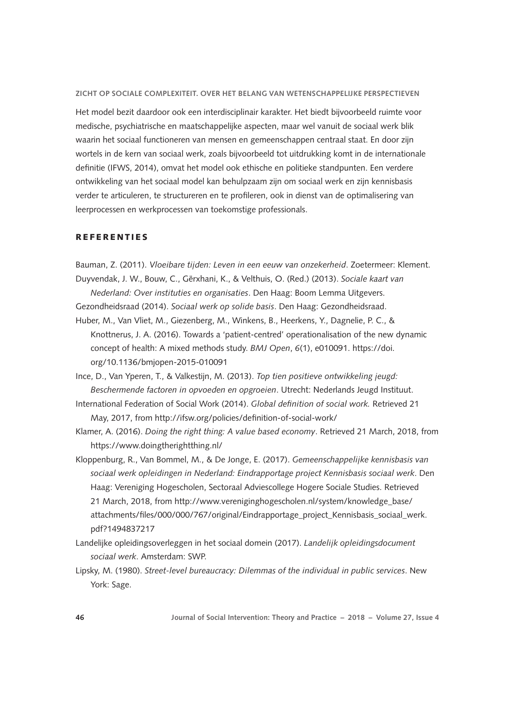Het model bezit daardoor ook een interdisciplinair karakter. Het biedt bijvoorbeeld ruimte voor medische, psychiatrische en maatschappelijke aspecten, maar wel vanuit de sociaal werk blik waarin het sociaal functioneren van mensen en gemeenschappen centraal staat. En door zijn wortels in de kern van sociaal werk, zoals bijvoorbeeld tot uitdrukking komt in de internationale definitie (IFWS, 2014), omvat het model ook ethische en politieke standpunten. Een verdere ontwikkeling van het sociaal model kan behulpzaam zijn om sociaal werk en zijn kennisbasis verder te articuleren, te structureren en te profileren, ook in dienst van de optimalisering van leerprocessen en werkprocessen van toekomstige professionals.

## REFERENTIES

Bauman, Z. (2011). *Vloeibare tijden: Leven in een eeuw van onzekerheid*. Zoetermeer: Klement. Duyvendak, J. W., Bouw, C., Gërxhani, K., & Velthuis, O. (Red.) (2013). *Sociale kaart van* 

*Nederland: Over instituties en organisaties*. Den Haag: Boom Lemma Uitgevers.

- Gezondheidsraad (2014). *Sociaal werk op solide basis*. Den Haag: Gezondheidsraad.
- Huber, M., Van Vliet, M., Giezenberg, M., Winkens, B., Heerkens, Y., Dagnelie, P. C., & Knottnerus, J. A. (2016). Towards a 'patient-centred' operationalisation of the new dynamic concept of health: A mixed methods study. *BMJ Open*, *6*(1), e010091. [https://doi.](https://doi.org/10.1136/bmjopen-2015-010091) [org/10.1136/bmjopen-2015-010091](https://doi.org/10.1136/bmjopen-2015-010091)
- Ince, D., Van Yperen, T., & Valkestijn, M. (2013). *Top tien positieve ontwikkeling jeugd: Beschermende factoren in opvoeden en opgroeien*. Utrecht: Nederlands Jeugd Instituut.
- International Federation of Social Work (2014). *Global definition of social work.* Retrieved 21 May, 2017, from <http://ifsw.org/policies/definition-of-social-work/>
- Klamer, A. (2016). *Doing the right thing: A value based economy*. Retrieved 21 March, 2018, from <https://www.doingtherightthing.nl/>
- Kloppenburg, R., Van Bommel, M., & De Jonge, E. (2017). *Gemeenschappelijke kennisbasis van sociaal werk opleidingen in Nederland: Eindrapportage project Kennisbasis sociaal werk*. Den Haag: Vereniging Hogescholen, Sectoraal Adviescollege Hogere Sociale Studies. Retrieved 21 March, 2018, from [http://www.vereniginghogescholen.nl/system/knowledge\\_base/](http://www.vereniginghogescholen.nl/system/knowledge_base/attachments/files/000/000/767/original/Eindrapportage_project_Kennisbasis_sociaal_werk.pdf?1494837217) [attachments/files/000/000/767/original/Eindrapportage\\_project\\_Kennisbasis\\_sociaal\\_werk.](http://www.vereniginghogescholen.nl/system/knowledge_base/attachments/files/000/000/767/original/Eindrapportage_project_Kennisbasis_sociaal_werk.pdf?1494837217) [pdf?1494837217](http://www.vereniginghogescholen.nl/system/knowledge_base/attachments/files/000/000/767/original/Eindrapportage_project_Kennisbasis_sociaal_werk.pdf?1494837217)
- Landelijke opleidingsoverleggen in het sociaal domein (2017). *Landelijk opleidingsdocument sociaal werk*. Amsterdam: SWP.
- Lipsky, M. (1980). *Street-level bureaucracy: Dilemmas of the individual in public services*. New York: Sage.